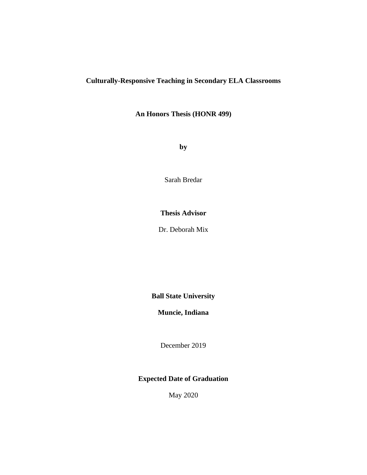# **Culturally-Responsive Teaching in Secondary ELA Classrooms**

**An Honors Thesis (HONR 499)**

**by**

Sarah Bredar

# **Thesis Advisor**

Dr. Deborah Mix

**Ball State University**

**Muncie, Indiana**

December 2019

**Expected Date of Graduation**

May 2020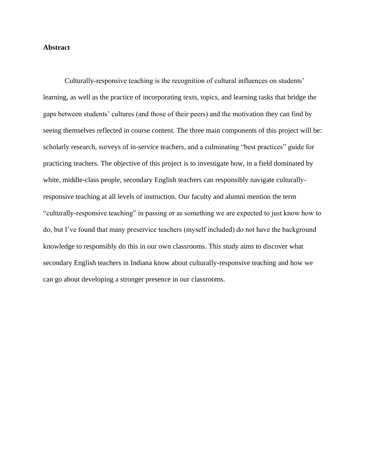### **Abstract**

Culturally-responsive teaching is the recognition of cultural influences on students' learning, as well as the practice of incorporating texts, topics, and learning tasks that bridge the gaps between students' cultures (and those of their peers) and the motivation they can find by seeing themselves reflected in course content. The three main components of this project will be: scholarly research, surveys of in-service teachers, and a culminating "best practices" guide for practicing teachers. The objective of this project is to investigate how, in a field dominated by white, middle-class people, secondary English teachers can responsibly navigate culturallyresponsive teaching at all levels of instruction. Our faculty and alumni mention the term "culturally-responsive teaching" in passing or as something we are expected to just know how to do, but I've found that many preservice teachers (myself included) do not have the background knowledge to responsibly do this in our own classrooms. This study aims to discover what secondary English teachers in Indiana know about culturally-responsive teaching and how we can go about developing a stronger presence in our classrooms.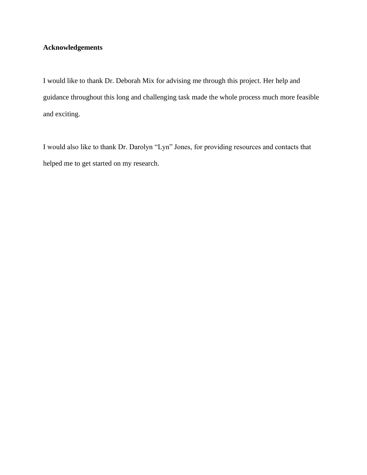# **Acknowledgements**

I would like to thank Dr. Deborah Mix for advising me through this project. Her help and guidance throughout this long and challenging task made the whole process much more feasible and exciting.

I would also like to thank Dr. Darolyn "Lyn" Jones, for providing resources and contacts that helped me to get started on my research.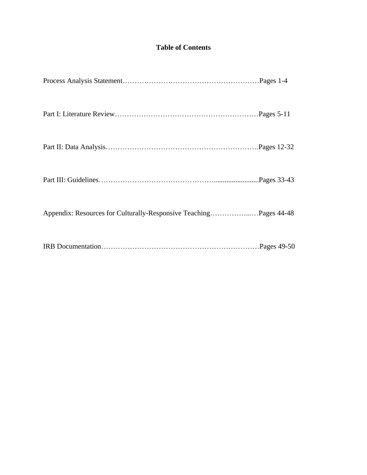# **Table of Contents**

| Appendix: Resources for Culturally-Responsive TeachingPages 44-48 |  |
|-------------------------------------------------------------------|--|
|                                                                   |  |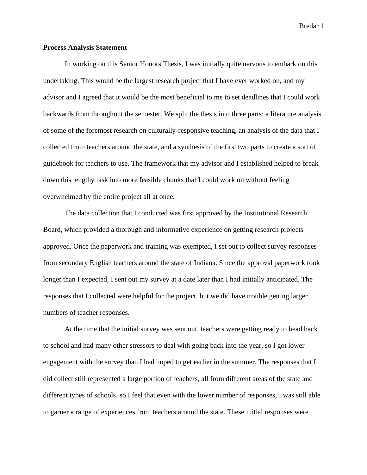### **Process Analysis Statement**

In working on this Senior Honors Thesis, I was initially quite nervous to embark on this undertaking. This would be the largest research project that I have ever worked on, and my advisor and I agreed that it would be the most beneficial to me to set deadlines that I could work backwards from throughout the semester. We split the thesis into three parts: a literature analysis of some of the foremost research on culturally-responsive teaching, an analysis of the data that I collected from teachers around the state, and a synthesis of the first two parts to create a sort of guidebook for teachers to use. The framework that my advisor and I established helped to break down this lengthy task into more feasible chunks that I could work on without feeling overwhelmed by the entire project all at once.

The data collection that I conducted was first approved by the Institutional Research Board, which provided a thorough and informative experience on getting research projects approved. Once the paperwork and training was exempted, I set out to collect survey responses from secondary English teachers around the state of Indiana. Since the approval paperwork took longer than I expected, I sent out my survey at a date later than I had initially anticipated. The responses that I collected were helpful for the project, but we did have trouble getting larger numbers of teacher responses.

At the time that the initial survey was sent out, teachers were getting ready to head back to school and had many other stressors to deal with going back into the year, so I got lower engagement with the survey than I had hoped to get earlier in the summer. The responses that I did collect still represented a large portion of teachers, all from different areas of the state and different types of schools, so I feel that even with the lower number of responses, I was still able to garner a range of experiences from teachers around the state. These initial responses were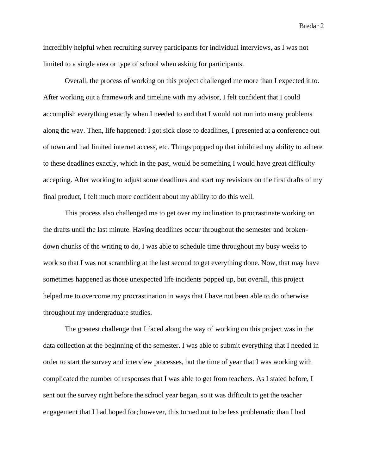incredibly helpful when recruiting survey participants for individual interviews, as I was not limited to a single area or type of school when asking for participants.

Overall, the process of working on this project challenged me more than I expected it to. After working out a framework and timeline with my advisor, I felt confident that I could accomplish everything exactly when I needed to and that I would not run into many problems along the way. Then, life happened: I got sick close to deadlines, I presented at a conference out of town and had limited internet access, etc. Things popped up that inhibited my ability to adhere to these deadlines exactly, which in the past, would be something I would have great difficulty accepting. After working to adjust some deadlines and start my revisions on the first drafts of my final product, I felt much more confident about my ability to do this well.

This process also challenged me to get over my inclination to procrastinate working on the drafts until the last minute. Having deadlines occur throughout the semester and brokendown chunks of the writing to do, I was able to schedule time throughout my busy weeks to work so that I was not scrambling at the last second to get everything done. Now, that may have sometimes happened as those unexpected life incidents popped up, but overall, this project helped me to overcome my procrastination in ways that I have not been able to do otherwise throughout my undergraduate studies.

The greatest challenge that I faced along the way of working on this project was in the data collection at the beginning of the semester. I was able to submit everything that I needed in order to start the survey and interview processes, but the time of year that I was working with complicated the number of responses that I was able to get from teachers. As I stated before, I sent out the survey right before the school year began, so it was difficult to get the teacher engagement that I had hoped for; however, this turned out to be less problematic than I had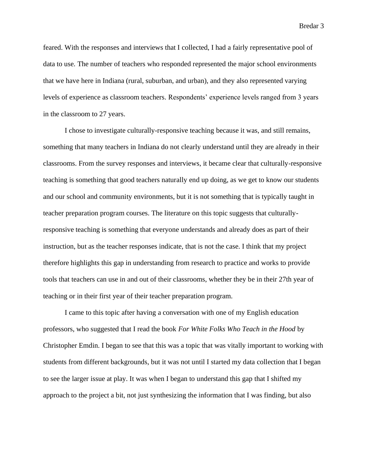feared. With the responses and interviews that I collected, I had a fairly representative pool of data to use. The number of teachers who responded represented the major school environments that we have here in Indiana (rural, suburban, and urban), and they also represented varying levels of experience as classroom teachers. Respondents' experience levels ranged from 3 years in the classroom to 27 years.

I chose to investigate culturally-responsive teaching because it was, and still remains, something that many teachers in Indiana do not clearly understand until they are already in their classrooms. From the survey responses and interviews, it became clear that culturally-responsive teaching is something that good teachers naturally end up doing, as we get to know our students and our school and community environments, but it is not something that is typically taught in teacher preparation program courses. The literature on this topic suggests that culturallyresponsive teaching is something that everyone understands and already does as part of their instruction, but as the teacher responses indicate, that is not the case. I think that my project therefore highlights this gap in understanding from research to practice and works to provide tools that teachers can use in and out of their classrooms, whether they be in their 27th year of teaching or in their first year of their teacher preparation program.

I came to this topic after having a conversation with one of my English education professors, who suggested that I read the book *For White Folks Who Teach in the Hood* by Christopher Emdin. I began to see that this was a topic that was vitally important to working with students from different backgrounds, but it was not until I started my data collection that I began to see the larger issue at play. It was when I began to understand this gap that I shifted my approach to the project a bit, not just synthesizing the information that I was finding, but also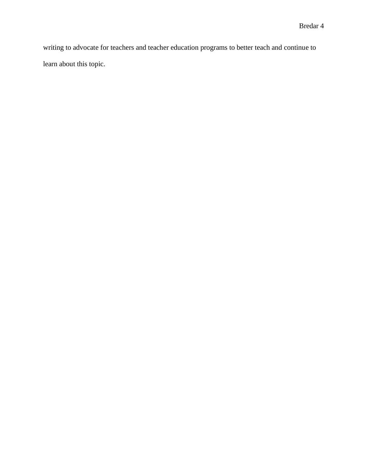writing to advocate for teachers and teacher education programs to better teach and continue to learn about this topic.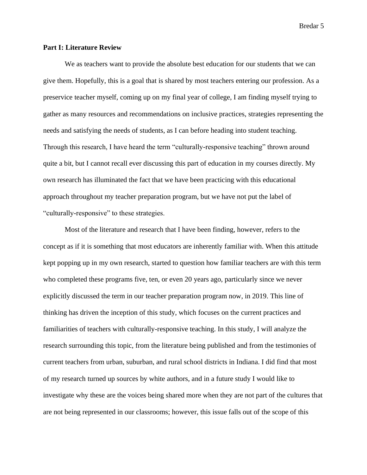#### **Part I: Literature Review**

We as teachers want to provide the absolute best education for our students that we can give them. Hopefully, this is a goal that is shared by most teachers entering our profession. As a preservice teacher myself, coming up on my final year of college, I am finding myself trying to gather as many resources and recommendations on inclusive practices, strategies representing the needs and satisfying the needs of students, as I can before heading into student teaching. Through this research, I have heard the term "culturally-responsive teaching" thrown around quite a bit, but I cannot recall ever discussing this part of education in my courses directly. My own research has illuminated the fact that we have been practicing with this educational approach throughout my teacher preparation program, but we have not put the label of "culturally-responsive" to these strategies.

Most of the literature and research that I have been finding, however, refers to the concept as if it is something that most educators are inherently familiar with. When this attitude kept popping up in my own research, started to question how familiar teachers are with this term who completed these programs five, ten, or even 20 years ago, particularly since we never explicitly discussed the term in our teacher preparation program now, in 2019. This line of thinking has driven the inception of this study, which focuses on the current practices and familiarities of teachers with culturally-responsive teaching. In this study, I will analyze the research surrounding this topic, from the literature being published and from the testimonies of current teachers from urban, suburban, and rural school districts in Indiana. I did find that most of my research turned up sources by white authors, and in a future study I would like to investigate why these are the voices being shared more when they are not part of the cultures that are not being represented in our classrooms; however, this issue falls out of the scope of this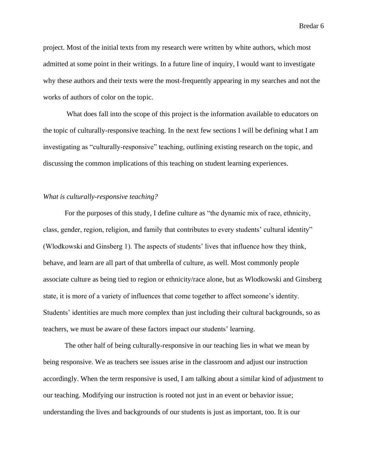project. Most of the initial texts from my research were written by white authors, which most admitted at some point in their writings. In a future line of inquiry, I would want to investigate why these authors and their texts were the most-frequently appearing in my searches and not the works of authors of color on the topic.

What does fall into the scope of this project is the information available to educators on the topic of culturally-responsive teaching. In the next few sections I will be defining what I am investigating as "culturally-responsive" teaching, outlining existing research on the topic, and discussing the common implications of this teaching on student learning experiences.

### *What is culturally-responsive teaching?*

For the purposes of this study, I define culture as "the dynamic mix of race, ethnicity, class, gender, region, religion, and family that contributes to every students' cultural identity" (Wlodkowski and Ginsberg 1). The aspects of students' lives that influence how they think, behave, and learn are all part of that umbrella of culture, as well. Most commonly people associate culture as being tied to region or ethnicity/race alone, but as Wlodkowski and Ginsberg state, it is more of a variety of influences that come together to affect someone's identity. Students' identities are much more complex than just including their cultural backgrounds, so as teachers, we must be aware of these factors impact our students' learning.

The other half of being culturally-responsive in our teaching lies in what we mean by being responsive. We as teachers see issues arise in the classroom and adjust our instruction accordingly. When the term responsive is used, I am talking about a similar kind of adjustment to our teaching. Modifying our instruction is rooted not just in an event or behavior issue; understanding the lives and backgrounds of our students is just as important, too. It is our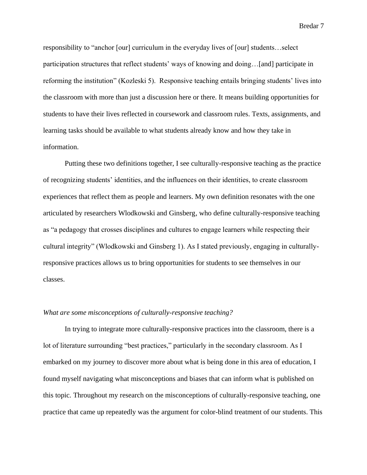responsibility to "anchor [our] curriculum in the everyday lives of [our] students…select participation structures that reflect students' ways of knowing and doing…[and] participate in reforming the institution" (Kozleski 5). Responsive teaching entails bringing students' lives into the classroom with more than just a discussion here or there. It means building opportunities for students to have their lives reflected in coursework and classroom rules. Texts, assignments, and learning tasks should be available to what students already know and how they take in information.

Putting these two definitions together, I see culturally-responsive teaching as the practice of recognizing students' identities, and the influences on their identities, to create classroom experiences that reflect them as people and learners. My own definition resonates with the one articulated by researchers Wlodkowski and Ginsberg, who define culturally-responsive teaching as "a pedagogy that crosses disciplines and cultures to engage learners while respecting their cultural integrity" (Wlodkowski and Ginsberg 1). As I stated previously, engaging in culturallyresponsive practices allows us to bring opportunities for students to see themselves in our classes.

### *What are some misconceptions of culturally-responsive teaching?*

In trying to integrate more culturally-responsive practices into the classroom, there is a lot of literature surrounding "best practices," particularly in the secondary classroom. As I embarked on my journey to discover more about what is being done in this area of education, I found myself navigating what misconceptions and biases that can inform what is published on this topic. Throughout my research on the misconceptions of culturally-responsive teaching, one practice that came up repeatedly was the argument for color-blind treatment of our students. This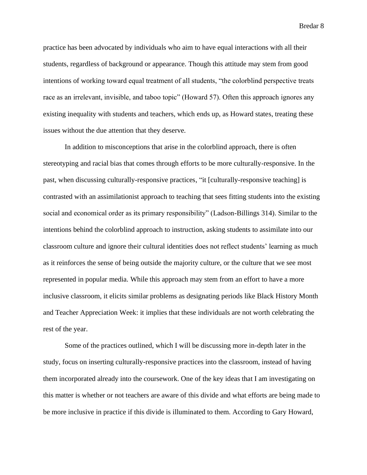practice has been advocated by individuals who aim to have equal interactions with all their students, regardless of background or appearance. Though this attitude may stem from good intentions of working toward equal treatment of all students, "the colorblind perspective treats race as an irrelevant, invisible, and taboo topic" (Howard 57). Often this approach ignores any existing inequality with students and teachers, which ends up, as Howard states, treating these issues without the due attention that they deserve.

In addition to misconceptions that arise in the colorblind approach, there is often stereotyping and racial bias that comes through efforts to be more culturally-responsive. In the past, when discussing culturally-responsive practices, "it [culturally-responsive teaching] is contrasted with an assimilationist approach to teaching that sees fitting students into the existing social and economical order as its primary responsibility" (Ladson-Billings 314). Similar to the intentions behind the colorblind approach to instruction, asking students to assimilate into our classroom culture and ignore their cultural identities does not reflect students' learning as much as it reinforces the sense of being outside the majority culture, or the culture that we see most represented in popular media. While this approach may stem from an effort to have a more inclusive classroom, it elicits similar problems as designating periods like Black History Month and Teacher Appreciation Week: it implies that these individuals are not worth celebrating the rest of the year.

Some of the practices outlined, which I will be discussing more in-depth later in the study, focus on inserting culturally-responsive practices into the classroom, instead of having them incorporated already into the coursework. One of the key ideas that I am investigating on this matter is whether or not teachers are aware of this divide and what efforts are being made to be more inclusive in practice if this divide is illuminated to them. According to Gary Howard,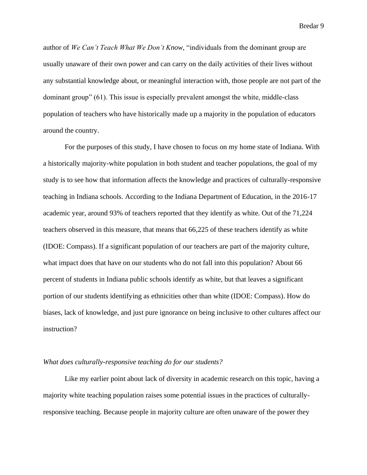author of *We Can't Teach What We Don't Know*, "individuals from the dominant group are usually unaware of their own power and can carry on the daily activities of their lives without any substantial knowledge about, or meaningful interaction with, those people are not part of the dominant group" (61). This issue is especially prevalent amongst the white, middle-class population of teachers who have historically made up a majority in the population of educators around the country.

For the purposes of this study, I have chosen to focus on my home state of Indiana. With a historically majority-white population in both student and teacher populations, the goal of my study is to see how that information affects the knowledge and practices of culturally-responsive teaching in Indiana schools. According to the Indiana Department of Education, in the 2016-17 academic year, around 93% of teachers reported that they identify as white. Out of the 71,224 teachers observed in this measure, that means that 66,225 of these teachers identify as white (IDOE: Compass). If a significant population of our teachers are part of the majority culture, what impact does that have on our students who do not fall into this population? About 66 percent of students in Indiana public schools identify as white, but that leaves a significant portion of our students identifying as ethnicities other than white (IDOE: Compass). How do biases, lack of knowledge, and just pure ignorance on being inclusive to other cultures affect our instruction?

#### *What does culturally-responsive teaching do for our students?*

Like my earlier point about lack of diversity in academic research on this topic, having a majority white teaching population raises some potential issues in the practices of culturallyresponsive teaching. Because people in majority culture are often unaware of the power they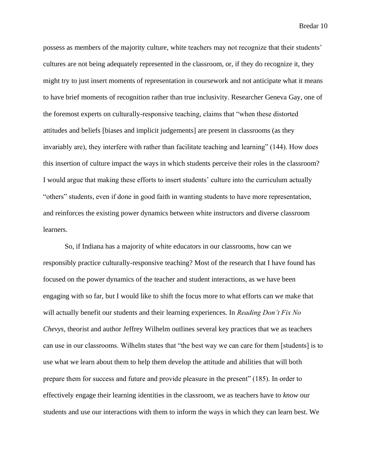possess as members of the majority culture, white teachers may not recognize that their students' cultures are not being adequately represented in the classroom, or, if they do recognize it, they might try to just insert moments of representation in coursework and not anticipate what it means to have brief moments of recognition rather than true inclusivity. Researcher Geneva Gay, one of the foremost experts on culturally-responsive teaching, claims that "when these distorted attitudes and beliefs [biases and implicit judgements] are present in classrooms (as they invariably are), they interfere with rather than facilitate teaching and learning" (144). How does this insertion of culture impact the ways in which students perceive their roles in the classroom? I would argue that making these efforts to insert students' culture into the curriculum actually "others" students, even if done in good faith in wanting students to have more representation, and reinforces the existing power dynamics between white instructors and diverse classroom learners.

So, if Indiana has a majority of white educators in our classrooms, how can we responsibly practice culturally-responsive teaching? Most of the research that I have found has focused on the power dynamics of the teacher and student interactions, as we have been engaging with so far, but I would like to shift the focus more to what efforts can we make that will actually benefit our students and their learning experiences. In *Reading Don't Fix No Chevys*, theorist and author Jeffrey Wilhelm outlines several key practices that we as teachers can use in our classrooms. Wilhelm states that "the best way we can care for them [students] is to use what we learn about them to help them develop the attitude and abilities that will both prepare them for success and future and provide pleasure in the present" (185). In order to effectively engage their learning identities in the classroom, we as teachers have to *know* our students and use our interactions with them to inform the ways in which they can learn best. We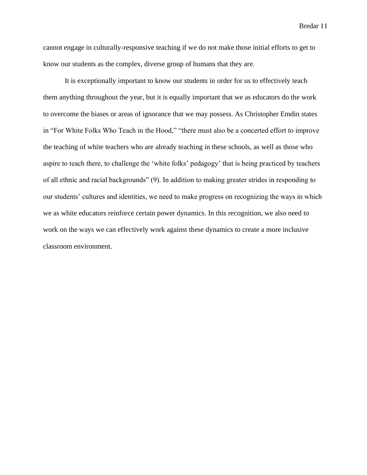cannot engage in culturally-responsive teaching if we do not make those initial efforts to get to know our students as the complex, diverse group of humans that they are.

It is exceptionally important to know our students in order for us to effectively teach them anything throughout the year, but it is equally important that we as educators do the work to overcome the biases or areas of ignorance that we may possess. As Christopher Emdin states in "For White Folks Who Teach in the Hood," "there must also be a concerted effort to improve the teaching of white teachers who are already teaching in these schools, as well as those who aspire to teach there, to challenge the 'white folks' pedagogy' that is being practiced by teachers of all ethnic and racial backgrounds" (9). In addition to making greater strides in responding to our students' cultures and identities, we need to make progress on recognizing the ways in which we as white educators reinforce certain power dynamics. In this recognition, we also need to work on the ways we can effectively work against these dynamics to create a more inclusive classroom environment.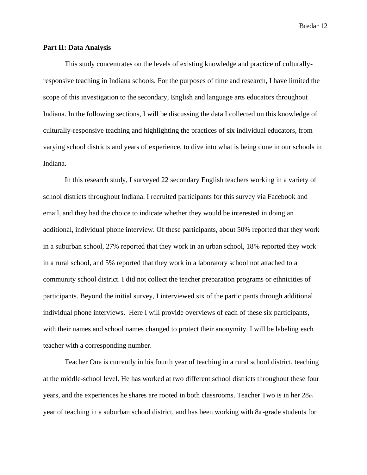#### **Part II: Data Analysis**

This study concentrates on the levels of existing knowledge and practice of culturallyresponsive teaching in Indiana schools. For the purposes of time and research, I have limited the scope of this investigation to the secondary, English and language arts educators throughout Indiana. In the following sections, I will be discussing the data I collected on this knowledge of culturally-responsive teaching and highlighting the practices of six individual educators, from varying school districts and years of experience, to dive into what is being done in our schools in Indiana.

In this research study, I surveyed 22 secondary English teachers working in a variety of school districts throughout Indiana. I recruited participants for this survey via Facebook and email, and they had the choice to indicate whether they would be interested in doing an additional, individual phone interview. Of these participants, about 50% reported that they work in a suburban school, 27% reported that they work in an urban school, 18% reported they work in a rural school, and 5% reported that they work in a laboratory school not attached to a community school district. I did not collect the teacher preparation programs or ethnicities of participants. Beyond the initial survey, I interviewed six of the participants through additional individual phone interviews. Here I will provide overviews of each of these six participants, with their names and school names changed to protect their anonymity. I will be labeling each teacher with a corresponding number.

Teacher One is currently in his fourth year of teaching in a rural school district, teaching at the middle-school level. He has worked at two different school districts throughout these four years, and the experiences he shares are rooted in both classrooms. Teacher Two is in her 28th year of teaching in a suburban school district, and has been working with 8th-grade students for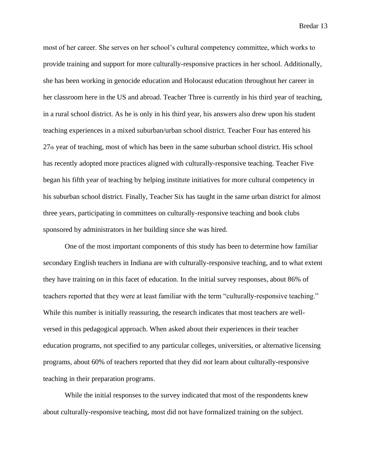most of her career. She serves on her school's cultural competency committee, which works to provide training and support for more culturally-responsive practices in her school. Additionally, she has been working in genocide education and Holocaust education throughout her career in her classroom here in the US and abroad. Teacher Three is currently in his third year of teaching, in a rural school district. As he is only in his third year, his answers also drew upon his student teaching experiences in a mixed suburban/urban school district. Teacher Four has entered his 27th year of teaching, most of which has been in the same suburban school district. His school has recently adopted more practices aligned with culturally-responsive teaching. Teacher Five began his fifth year of teaching by helping institute initiatives for more cultural competency in his suburban school district. Finally, Teacher Six has taught in the same urban district for almost three years, participating in committees on culturally-responsive teaching and book clubs sponsored by administrators in her building since she was hired.

One of the most important components of this study has been to determine how familiar secondary English teachers in Indiana are with culturally-responsive teaching, and to what extent they have training on in this facet of education. In the initial survey responses, about 86% of teachers reported that they were at least familiar with the term "culturally-responsive teaching." While this number is initially reassuring, the research indicates that most teachers are wellversed in this pedagogical approach. When asked about their experiences in their teacher education programs, not specified to any particular colleges, universities, or alternative licensing programs, about 60% of teachers reported that they did *not* learn about culturally-responsive teaching in their preparation programs.

While the initial responses to the survey indicated that most of the respondents knew about culturally-responsive teaching, most did not have formalized training on the subject.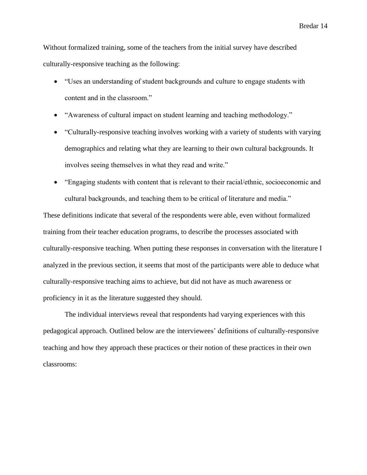Without formalized training, some of the teachers from the initial survey have described culturally-responsive teaching as the following:

- "Uses an understanding of student backgrounds and culture to engage students with content and in the classroom."
- "Awareness of cultural impact on student learning and teaching methodology."
- "Culturally-responsive teaching involves working with a variety of students with varying demographics and relating what they are learning to their own cultural backgrounds. It involves seeing themselves in what they read and write."
- "Engaging students with content that is relevant to their racial/ethnic, socioeconomic and cultural backgrounds, and teaching them to be critical of literature and media."

These definitions indicate that several of the respondents were able, even without formalized training from their teacher education programs, to describe the processes associated with culturally-responsive teaching. When putting these responses in conversation with the literature I analyzed in the previous section, it seems that most of the participants were able to deduce what culturally-responsive teaching aims to achieve, but did not have as much awareness or proficiency in it as the literature suggested they should.

The individual interviews reveal that respondents had varying experiences with this pedagogical approach. Outlined below are the interviewees' definitions of culturally-responsive teaching and how they approach these practices or their notion of these practices in their own classrooms: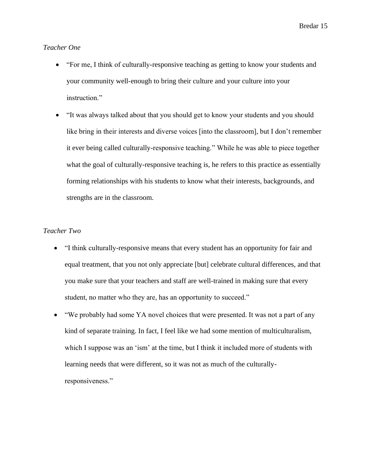## *Teacher One*

- "For me, I think of culturally-responsive teaching as getting to know your students and your community well-enough to bring their culture and your culture into your instruction."
- "It was always talked about that you should get to know your students and you should like bring in their interests and diverse voices [into the classroom], but I don't remember it ever being called culturally-responsive teaching." While he was able to piece together what the goal of culturally-responsive teaching is, he refers to this practice as essentially forming relationships with his students to know what their interests, backgrounds, and strengths are in the classroom.

## *Teacher Two*

- "I think culturally-responsive means that every student has an opportunity for fair and equal treatment, that you not only appreciate [but] celebrate cultural differences, and that you make sure that your teachers and staff are well-trained in making sure that every student, no matter who they are, has an opportunity to succeed."
- "We probably had some YA novel choices that were presented. It was not a part of any kind of separate training. In fact, I feel like we had some mention of multiculturalism, which I suppose was an 'ism' at the time, but I think it included more of students with learning needs that were different, so it was not as much of the culturallyresponsiveness."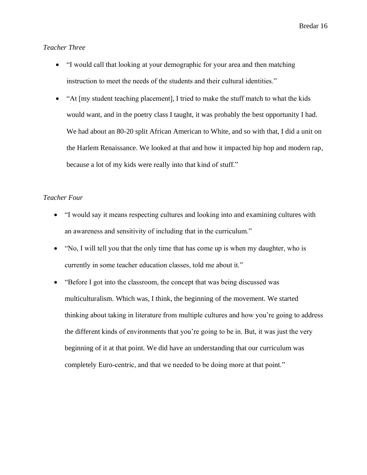## *Teacher Three*

- "I would call that looking at your demographic for your area and then matching instruction to meet the needs of the students and their cultural identities."
- "At [my student teaching placement], I tried to make the stuff match to what the kids would want, and in the poetry class I taught, it was probably the best opportunity I had. We had about an 80-20 split African American to White, and so with that, I did a unit on the Harlem Renaissance. We looked at that and how it impacted hip hop and modern rap, because a lot of my kids were really into that kind of stuff."

### *Teacher Four*

- "I would say it means respecting cultures and looking into and examining cultures with an awareness and sensitivity of including that in the curriculum."
- "No, I will tell you that the only time that has come up is when my daughter, who is currently in some teacher education classes, told me about it."
- "Before I got into the classroom, the concept that was being discussed was multiculturalism. Which was, I think, the beginning of the movement. We started thinking about taking in literature from multiple cultures and how you're going to address the different kinds of environments that you're going to be in. But, it was just the very beginning of it at that point. We did have an understanding that our curriculum was completely Euro-centric, and that we needed to be doing more at that point."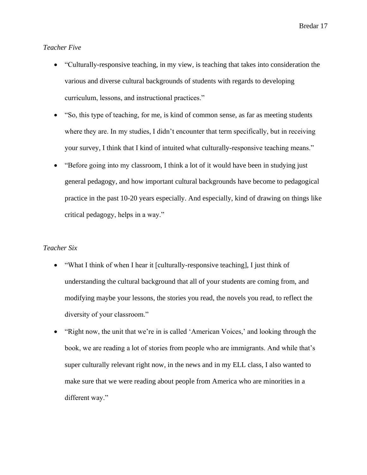### *Teacher Five*

- "Culturally-responsive teaching, in my view, is teaching that takes into consideration the various and diverse cultural backgrounds of students with regards to developing curriculum, lessons, and instructional practices."
- "So, this type of teaching, for me, is kind of common sense, as far as meeting students where they are. In my studies, I didn't encounter that term specifically, but in receiving your survey, I think that I kind of intuited what culturally-responsive teaching means."
- "Before going into my classroom, I think a lot of it would have been in studying just general pedagogy, and how important cultural backgrounds have become to pedagogical practice in the past 10-20 years especially. And especially, kind of drawing on things like critical pedagogy, helps in a way."

#### *Teacher Six*

- "What I think of when I hear it [culturally-responsive teaching], I just think of understanding the cultural background that all of your students are coming from, and modifying maybe your lessons, the stories you read, the novels you read, to reflect the diversity of your classroom."
- "Right now, the unit that we're in is called 'American Voices,' and looking through the book, we are reading a lot of stories from people who are immigrants. And while that's super culturally relevant right now, in the news and in my ELL class, I also wanted to make sure that we were reading about people from America who are minorities in a different way."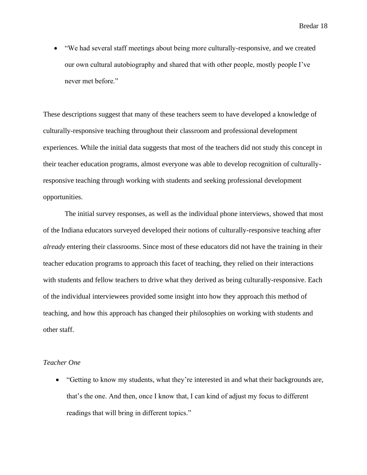• "We had several staff meetings about being more culturally-responsive, and we created our own cultural autobiography and shared that with other people, mostly people I've never met before."

These descriptions suggest that many of these teachers seem to have developed a knowledge of culturally-responsive teaching throughout their classroom and professional development experiences. While the initial data suggests that most of the teachers did not study this concept in their teacher education programs, almost everyone was able to develop recognition of culturallyresponsive teaching through working with students and seeking professional development opportunities.

The initial survey responses, as well as the individual phone interviews, showed that most of the Indiana educators surveyed developed their notions of culturally-responsive teaching after *already* entering their classrooms. Since most of these educators did not have the training in their teacher education programs to approach this facet of teaching, they relied on their interactions with students and fellow teachers to drive what they derived as being culturally-responsive. Each of the individual interviewees provided some insight into how they approach this method of teaching, and how this approach has changed their philosophies on working with students and other staff.

#### *Teacher One*

• "Getting to know my students, what they're interested in and what their backgrounds are, that's the one. And then, once I know that, I can kind of adjust my focus to different readings that will bring in different topics."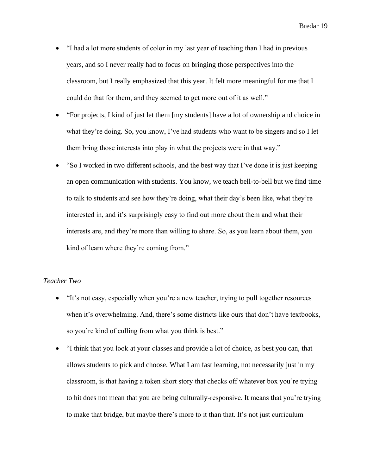- "I had a lot more students of color in my last year of teaching than I had in previous years, and so I never really had to focus on bringing those perspectives into the classroom, but I really emphasized that this year. It felt more meaningful for me that I could do that for them, and they seemed to get more out of it as well."
- "For projects, I kind of just let them [my students] have a lot of ownership and choice in what they're doing. So, you know, I've had students who want to be singers and so I let them bring those interests into play in what the projects were in that way."
- "So I worked in two different schools, and the best way that I've done it is just keeping an open communication with students. You know, we teach bell-to-bell but we find time to talk to students and see how they're doing, what their day's been like, what they're interested in, and it's surprisingly easy to find out more about them and what their interests are, and they're more than willing to share. So, as you learn about them, you kind of learn where they're coming from."

### *Teacher Two*

- "It's not easy, especially when you're a new teacher, trying to pull together resources when it's overwhelming. And, there's some districts like ours that don't have textbooks, so you're kind of culling from what you think is best."
- "I think that you look at your classes and provide a lot of choice, as best you can, that allows students to pick and choose. What I am fast learning, not necessarily just in my classroom, is that having a token short story that checks off whatever box you're trying to hit does not mean that you are being culturally-responsive. It means that you're trying to make that bridge, but maybe there's more to it than that. It's not just curriculum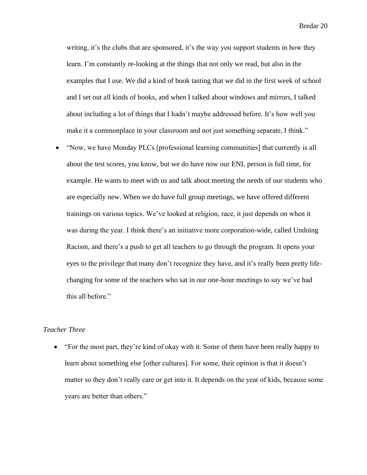writing, it's the clubs that are sponsored, it's the way you support students in how they learn. I'm constantly re-looking at the things that not only we read, but also in the examples that I use. We did a kind of book tasting that we did in the first week of school and I set out all kinds of books, and when I talked about windows and mirrors, I talked about including a lot of things that I hadn't maybe addressed before. It's how well you make it a commonplace in your classroom and not just something separate, I think."

• "Now, we have Monday PLCs [professional learning communities] that currently is all about the test scores, you know, but we do have now our ENL person is full time, for example. He wants to meet with us and talk about meeting the needs of our students who are especially new. When we do have full group meetings, we have offered different trainings on various topics. We've looked at religion, race, it just depends on when it was during the year. I think there's an initiative more corporation-wide, called Undoing Racism, and there's a push to get all teachers to go through the program. It opens your eyes to the privilege that many don't recognize they have, and it's really been pretty lifechanging for some of the teachers who sat in our one-hour meetings to say we've had this all before."

### *Teacher Three*

• "For the most part, they're kind of okay with it. Some of them have been really happy to learn about something else [other cultures]. For some, their opinion is that it doesn't matter so they don't really care or get into it. It depends on the year of kids, because some years are better than others."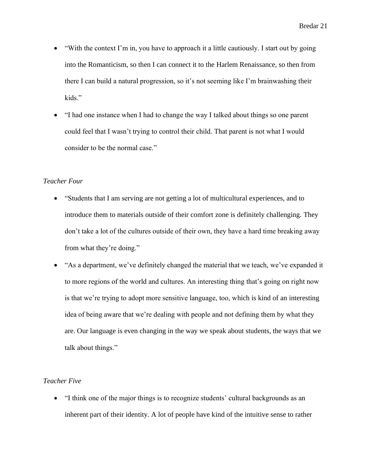- "With the context I'm in, you have to approach it a little cautiously. I start out by going into the Romanticism, so then I can connect it to the Harlem Renaissance, so then from there I can build a natural progression, so it's not seeming like I'm brainwashing their kids."
- "I had one instance when I had to change the way I talked about things so one parent could feel that I wasn't trying to control their child. That parent is not what I would consider to be the normal case."

### *Teacher Four*

- "Students that I am serving are not getting a lot of multicultural experiences, and to introduce them to materials outside of their comfort zone is definitely challenging. They don't take a lot of the cultures outside of their own, they have a hard time breaking away from what they're doing."
- "As a department, we've definitely changed the material that we teach, we've expanded it to more regions of the world and cultures. An interesting thing that's going on right now is that we're trying to adopt more sensitive language, too, which is kind of an interesting idea of being aware that we're dealing with people and not defining them by what they are. Our language is even changing in the way we speak about students, the ways that we talk about things."

## *Teacher Five*

• "I think one of the major things is to recognize students' cultural backgrounds as an inherent part of their identity. A lot of people have kind of the intuitive sense to rather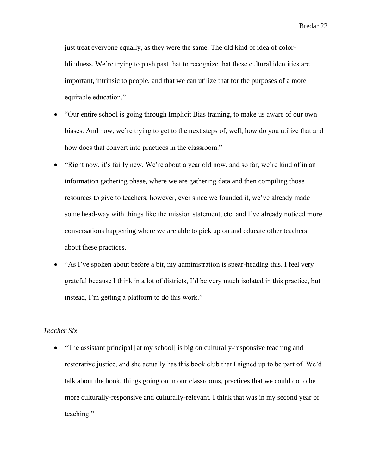just treat everyone equally, as they were the same. The old kind of idea of colorblindness. We're trying to push past that to recognize that these cultural identities are important, intrinsic to people, and that we can utilize that for the purposes of a more equitable education."

- "Our entire school is going through Implicit Bias training, to make us aware of our own biases. And now, we're trying to get to the next steps of, well, how do you utilize that and how does that convert into practices in the classroom."
- "Right now, it's fairly new. We're about a year old now, and so far, we're kind of in an information gathering phase, where we are gathering data and then compiling those resources to give to teachers; however, ever since we founded it, we've already made some head-way with things like the mission statement, etc. and I've already noticed more conversations happening where we are able to pick up on and educate other teachers about these practices.
- "As I've spoken about before a bit, my administration is spear-heading this. I feel very grateful because I think in a lot of districts, I'd be very much isolated in this practice, but instead, I'm getting a platform to do this work."

## *Teacher Six*

• "The assistant principal [at my school] is big on culturally-responsive teaching and restorative justice, and she actually has this book club that I signed up to be part of. We'd talk about the book, things going on in our classrooms, practices that we could do to be more culturally-responsive and culturally-relevant. I think that was in my second year of teaching."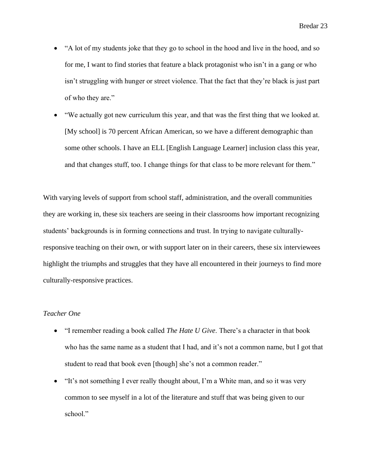- "A lot of my students joke that they go to school in the hood and live in the hood, and so for me, I want to find stories that feature a black protagonist who isn't in a gang or who isn't struggling with hunger or street violence. That the fact that they're black is just part of who they are."
- "We actually got new curriculum this year, and that was the first thing that we looked at. [My school] is 70 percent African American, so we have a different demographic than some other schools. I have an ELL [English Language Learner] inclusion class this year, and that changes stuff, too. I change things for that class to be more relevant for them."

With varying levels of support from school staff, administration, and the overall communities they are working in, these six teachers are seeing in their classrooms how important recognizing students' backgrounds is in forming connections and trust. In trying to navigate culturallyresponsive teaching on their own, or with support later on in their careers, these six interviewees highlight the triumphs and struggles that they have all encountered in their journeys to find more culturally-responsive practices.

## *Teacher One*

- "I remember reading a book called *The Hate U Give*. There's a character in that book who has the same name as a student that I had, and it's not a common name, but I got that student to read that book even [though] she's not a common reader."
- "It's not something I ever really thought about, I'm a White man, and so it was very common to see myself in a lot of the literature and stuff that was being given to our school."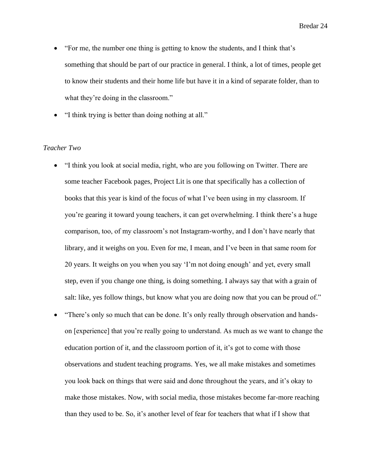- "For me, the number one thing is getting to know the students, and I think that's something that should be part of our practice in general. I think, a lot of times, people get to know their students and their home life but have it in a kind of separate folder, than to what they're doing in the classroom."
- "I think trying is better than doing nothing at all."

#### *Teacher Two*

- "I think you look at social media, right, who are you following on Twitter. There are some teacher Facebook pages, Project Lit is one that specifically has a collection of books that this year is kind of the focus of what I've been using in my classroom. If you're gearing it toward young teachers, it can get overwhelming. I think there's a huge comparison, too, of my classroom's not Instagram-worthy, and I don't have nearly that library, and it weighs on you. Even for me, I mean, and I've been in that same room for 20 years. It weighs on you when you say 'I'm not doing enough' and yet, every small step, even if you change one thing, is doing something. I always say that with a grain of salt: like, yes follow things, but know what you are doing now that you can be proud of."
- "There's only so much that can be done. It's only really through observation and handson [experience] that you're really going to understand. As much as we want to change the education portion of it, and the classroom portion of it, it's got to come with those observations and student teaching programs. Yes, we all make mistakes and sometimes you look back on things that were said and done throughout the years, and it's okay to make those mistakes. Now, with social media, those mistakes become far-more reaching than they used to be. So, it's another level of fear for teachers that what if I show that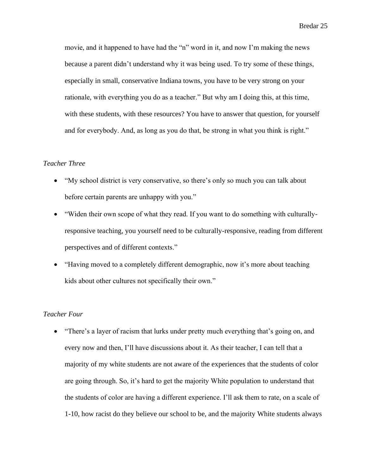movie, and it happened to have had the "n" word in it, and now I'm making the news because a parent didn't understand why it was being used. To try some of these things, especially in small, conservative Indiana towns, you have to be very strong on your rationale, with everything you do as a teacher." But why am I doing this, at this time, with these students, with these resources? You have to answer that question, for yourself and for everybody. And, as long as you do that, be strong in what you think is right."

#### *Teacher Three*

- "My school district is very conservative, so there's only so much you can talk about before certain parents are unhappy with you."
- "Widen their own scope of what they read. If you want to do something with culturallyresponsive teaching, you yourself need to be culturally-responsive, reading from different perspectives and of different contexts."
- "Having moved to a completely different demographic, now it's more about teaching kids about other cultures not specifically their own."

# *Teacher Four*

• "There's a layer of racism that lurks under pretty much everything that's going on, and every now and then, I'll have discussions about it. As their teacher, I can tell that a majority of my white students are not aware of the experiences that the students of color are going through. So, it's hard to get the majority White population to understand that the students of color are having a different experience. I'll ask them to rate, on a scale of 1-10, how racist do they believe our school to be, and the majority White students always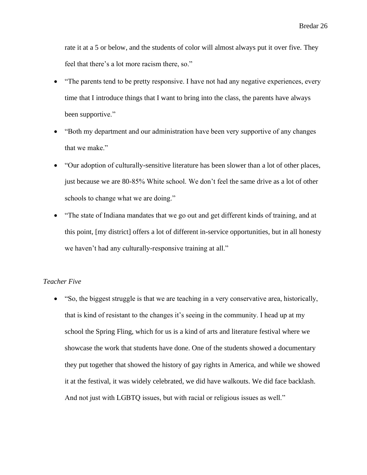rate it at a 5 or below, and the students of color will almost always put it over five. They feel that there's a lot more racism there, so."

- "The parents tend to be pretty responsive. I have not had any negative experiences, every time that I introduce things that I want to bring into the class, the parents have always been supportive."
- "Both my department and our administration have been very supportive of any changes that we make."
- "Our adoption of culturally-sensitive literature has been slower than a lot of other places, just because we are 80-85% White school. We don't feel the same drive as a lot of other schools to change what we are doing."
- "The state of Indiana mandates that we go out and get different kinds of training, and at this point, [my district] offers a lot of different in-service opportunities, but in all honesty we haven't had any culturally-responsive training at all."

## *Teacher Five*

• "So, the biggest struggle is that we are teaching in a very conservative area, historically, that is kind of resistant to the changes it's seeing in the community. I head up at my school the Spring Fling, which for us is a kind of arts and literature festival where we showcase the work that students have done. One of the students showed a documentary they put together that showed the history of gay rights in America, and while we showed it at the festival, it was widely celebrated, we did have walkouts. We did face backlash. And not just with LGBTQ issues, but with racial or religious issues as well."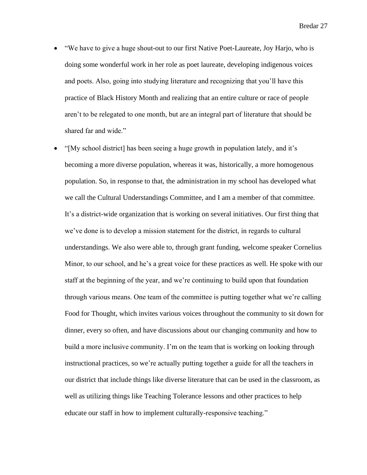- "We have to give a huge shout-out to our first Native Poet-Laureate, Joy Harjo, who is doing some wonderful work in her role as poet laureate, developing indigenous voices and poets. Also, going into studying literature and recognizing that you'll have this practice of Black History Month and realizing that an entire culture or race of people aren't to be relegated to one month, but are an integral part of literature that should be shared far and wide."
- "[My school district] has been seeing a huge growth in population lately, and it's becoming a more diverse population, whereas it was, historically, a more homogenous population. So, in response to that, the administration in my school has developed what we call the Cultural Understandings Committee, and I am a member of that committee. It's a district-wide organization that is working on several initiatives. Our first thing that we've done is to develop a mission statement for the district, in regards to cultural understandings. We also were able to, through grant funding, welcome speaker Cornelius Minor, to our school, and he's a great voice for these practices as well. He spoke with our staff at the beginning of the year, and we're continuing to build upon that foundation through various means. One team of the committee is putting together what we're calling Food for Thought, which invites various voices throughout the community to sit down for dinner, every so often, and have discussions about our changing community and how to build a more inclusive community. I'm on the team that is working on looking through instructional practices, so we're actually putting together a guide for all the teachers in our district that include things like diverse literature that can be used in the classroom, as well as utilizing things like Teaching Tolerance lessons and other practices to help educate our staff in how to implement culturally-responsive teaching."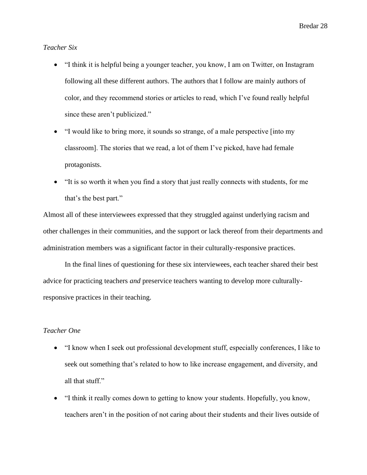*Teacher Six*

- "I think it is helpful being a younger teacher, you know, I am on Twitter, on Instagram following all these different authors. The authors that I follow are mainly authors of color, and they recommend stories or articles to read, which I've found really helpful since these aren't publicized."
- "I would like to bring more, it sounds so strange, of a male perspective [into my classroom]. The stories that we read, a lot of them I've picked, have had female protagonists.
- "It is so worth it when you find a story that just really connects with students, for me that's the best part."

Almost all of these interviewees expressed that they struggled against underlying racism and other challenges in their communities, and the support or lack thereof from their departments and administration members was a significant factor in their culturally-responsive practices.

In the final lines of questioning for these six interviewees, each teacher shared their best advice for practicing teachers *and* preservice teachers wanting to develop more culturallyresponsive practices in their teaching.

## *Teacher One*

- "I know when I seek out professional development stuff, especially conferences, I like to seek out something that's related to how to like increase engagement, and diversity, and all that stuff."
- "I think it really comes down to getting to know your students. Hopefully, you know, teachers aren't in the position of not caring about their students and their lives outside of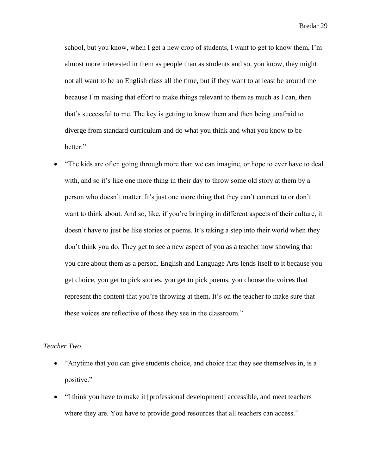school, but you know, when I get a new crop of students, I want to get to know them, I'm almost more interested in them as people than as students and so, you know, they might not all want to be an English class all the time, but if they want to at least be around me because I'm making that effort to make things relevant to them as much as I can, then that's successful to me. The key is getting to know them and then being unafraid to diverge from standard curriculum and do what you think and what you know to be better."

• "The kids are often going through more than we can imagine, or hope to ever have to deal with, and so it's like one more thing in their day to throw some old story at them by a person who doesn't matter. It's just one more thing that they can't connect to or don't want to think about. And so, like, if you're bringing in different aspects of their culture, it doesn't have to just be like stories or poems. It's taking a step into their world when they don't think you do. They get to see a new aspect of you as a teacher now showing that you care about them as a person. English and Language Arts lends itself to it because you get choice, you get to pick stories, you get to pick poems, you choose the voices that represent the content that you're throwing at them. It's on the teacher to make sure that these voices are reflective of those they see in the classroom."

## *Teacher Two*

- "Anytime that you can give students choice, and choice that they see themselves in, is a positive."
- "I think you have to make it [professional development] accessible, and meet teachers where they are. You have to provide good resources that all teachers can access."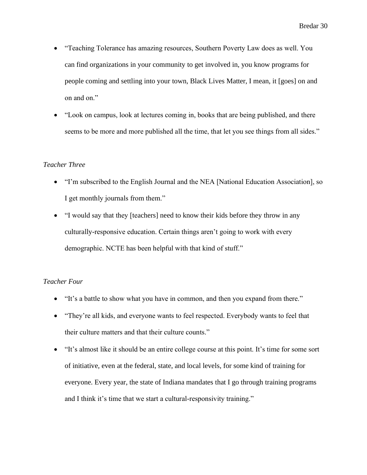- "Teaching Tolerance has amazing resources, Southern Poverty Law does as well. You can find organizations in your community to get involved in, you know programs for people coming and settling into your town, Black Lives Matter, I mean, it [goes] on and on and on."
- "Look on campus, look at lectures coming in, books that are being published, and there seems to be more and more published all the time, that let you see things from all sides."

### *Teacher Three*

- "I'm subscribed to the English Journal and the NEA [National Education Association], so I get monthly journals from them."
- "I would say that they [teachers] need to know their kids before they throw in any culturally-responsive education. Certain things aren't going to work with every demographic. NCTE has been helpful with that kind of stuff."

### *Teacher Four*

- "It's a battle to show what you have in common, and then you expand from there."
- "They're all kids, and everyone wants to feel respected. Everybody wants to feel that their culture matters and that their culture counts."
- "It's almost like it should be an entire college course at this point. It's time for some sort of initiative, even at the federal, state, and local levels, for some kind of training for everyone. Every year, the state of Indiana mandates that I go through training programs and I think it's time that we start a cultural-responsivity training."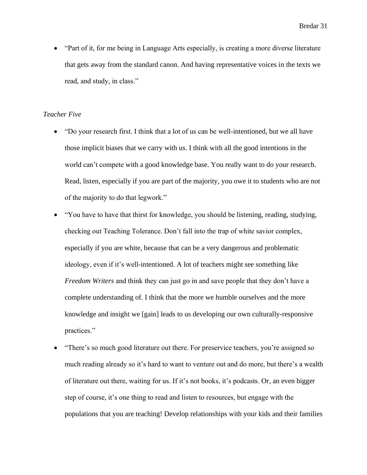• "Part of it, for me being in Language Arts especially, is creating a more diverse literature that gets away from the standard canon. And having representative voices in the texts we read, and study, in class."

### *Teacher Five*

- "Do your research first. I think that a lot of us can be well-intentioned, but we all have those implicit biases that we carry with us. I think with all the good intentions in the world can't compete with a good knowledge base. You really want to do your research. Read, listen, especially if you are part of the majority, you owe it to students who are not of the majority to do that legwork."
- "You have to have that thirst for knowledge, you should be listening, reading, studying, checking out Teaching Tolerance. Don't fall into the trap of white savior complex, especially if you are white, because that can be a very dangerous and problematic ideology, even if it's well-intentioned. A lot of teachers might see something like *Freedom Writers* and think they can just go in and save people that they don't have a complete understanding of. I think that the more we humble ourselves and the more knowledge and insight we [gain] leads to us developing our own culturally-responsive practices."
- "There's so much good literature out there. For preservice teachers, you're assigned so much reading already so it's hard to want to venture out and do more, but there's a wealth of literature out there, waiting for us. If it's not books, it's podcasts. Or, an even bigger step of course, it's one thing to read and listen to resources, but engage with the populations that you are teaching! Develop relationships with your kids and their families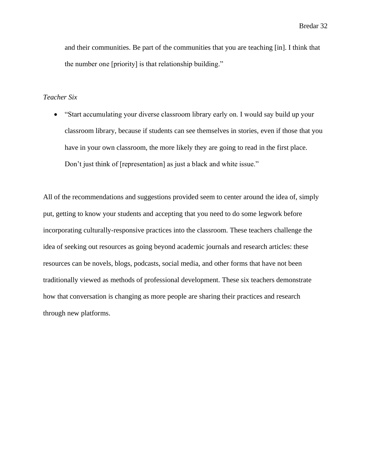and their communities. Be part of the communities that you are teaching [in]. I think that the number one [priority] is that relationship building."

### *Teacher Six*

• "Start accumulating your diverse classroom library early on. I would say build up your classroom library, because if students can see themselves in stories, even if those that you have in your own classroom, the more likely they are going to read in the first place. Don't just think of [representation] as just a black and white issue."

All of the recommendations and suggestions provided seem to center around the idea of, simply put, getting to know your students and accepting that you need to do some legwork before incorporating culturally-responsive practices into the classroom. These teachers challenge the idea of seeking out resources as going beyond academic journals and research articles: these resources can be novels, blogs, podcasts, social media, and other forms that have not been traditionally viewed as methods of professional development. These six teachers demonstrate how that conversation is changing as more people are sharing their practices and research through new platforms.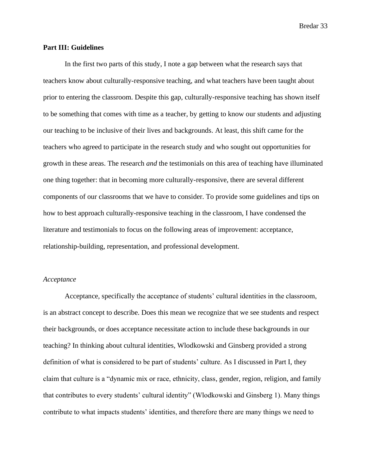#### **Part III: Guidelines**

In the first two parts of this study, I note a gap between what the research says that teachers know about culturally-responsive teaching, and what teachers have been taught about prior to entering the classroom. Despite this gap, culturally-responsive teaching has shown itself to be something that comes with time as a teacher, by getting to know our students and adjusting our teaching to be inclusive of their lives and backgrounds. At least, this shift came for the teachers who agreed to participate in the research study and who sought out opportunities for growth in these areas. The research *and* the testimonials on this area of teaching have illuminated one thing together: that in becoming more culturally-responsive, there are several different components of our classrooms that we have to consider. To provide some guidelines and tips on how to best approach culturally-responsive teaching in the classroom, I have condensed the literature and testimonials to focus on the following areas of improvement: acceptance, relationship-building, representation, and professional development.

#### *Acceptance*

Acceptance, specifically the acceptance of students' cultural identities in the classroom, is an abstract concept to describe. Does this mean we recognize that we see students and respect their backgrounds, or does acceptance necessitate action to include these backgrounds in our teaching? In thinking about cultural identities, Wlodkowski and Ginsberg provided a strong definition of what is considered to be part of students' culture. As I discussed in Part I, they claim that culture is a "dynamic mix or race, ethnicity, class, gender, region, religion, and family that contributes to every students' cultural identity" (Wlodkowski and Ginsberg 1). Many things contribute to what impacts students' identities, and therefore there are many things we need to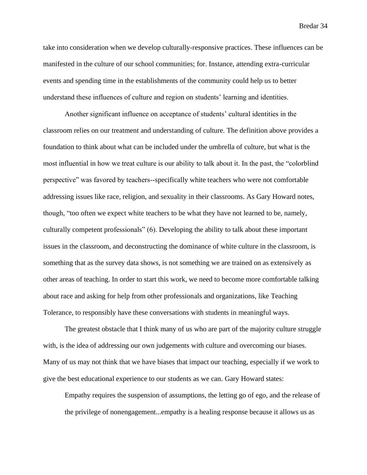take into consideration when we develop culturally-responsive practices. These influences can be manifested in the culture of our school communities; for. Instance, attending extra-curricular events and spending time in the establishments of the community could help us to better understand these influences of culture and region on students' learning and identities.

Another significant influence on acceptance of students' cultural identities in the classroom relies on our treatment and understanding of culture. The definition above provides a foundation to think about what can be included under the umbrella of culture, but what is the most influential in how we treat culture is our ability to talk about it. In the past, the "colorblind perspective" was favored by teachers--specifically white teachers who were not comfortable addressing issues like race, religion, and sexuality in their classrooms. As Gary Howard notes, though, "too often we expect white teachers to be what they have not learned to be, namely, culturally competent professionals" (6). Developing the ability to talk about these important issues in the classroom, and deconstructing the dominance of white culture in the classroom, is something that as the survey data shows, is not something we are trained on as extensively as other areas of teaching. In order to start this work, we need to become more comfortable talking about race and asking for help from other professionals and organizations, like Teaching Tolerance, to responsibly have these conversations with students in meaningful ways.

The greatest obstacle that I think many of us who are part of the majority culture struggle with, is the idea of addressing our own judgements with culture and overcoming our biases. Many of us may not think that we have biases that impact our teaching, especially if we work to give the best educational experience to our students as we can. Gary Howard states:

Empathy requires the suspension of assumptions, the letting go of ego, and the release of the privilege of nonengagement...empathy is a healing response because it allows us as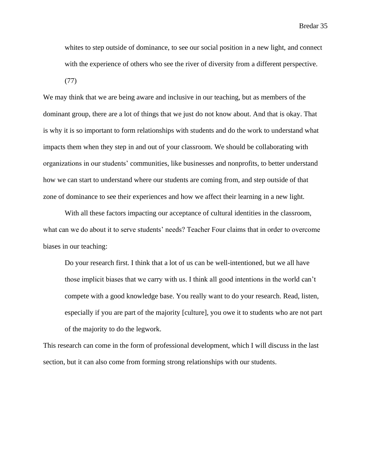whites to step outside of dominance, to see our social position in a new light, and connect with the experience of others who see the river of diversity from a different perspective.

(77)

We may think that we are being aware and inclusive in our teaching, but as members of the dominant group, there are a lot of things that we just do not know about. And that is okay. That is why it is so important to form relationships with students and do the work to understand what impacts them when they step in and out of your classroom. We should be collaborating with organizations in our students' communities, like businesses and nonprofits, to better understand how we can start to understand where our students are coming from, and step outside of that zone of dominance to see their experiences and how we affect their learning in a new light.

With all these factors impacting our acceptance of cultural identities in the classroom, what can we do about it to serve students' needs? Teacher Four claims that in order to overcome biases in our teaching:

Do your research first. I think that a lot of us can be well-intentioned, but we all have those implicit biases that we carry with us. I think all good intentions in the world can't compete with a good knowledge base. You really want to do your research. Read, listen, especially if you are part of the majority [culture], you owe it to students who are not part of the majority to do the legwork.

This research can come in the form of professional development, which I will discuss in the last section, but it can also come from forming strong relationships with our students.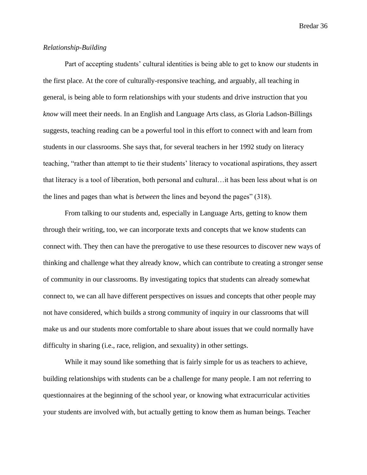### *Relationship-Building*

Part of accepting students' cultural identities is being able to get to know our students in the first place. At the core of culturally-responsive teaching, and arguably, all teaching in general, is being able to form relationships with your students and drive instruction that you *know* will meet their needs. In an English and Language Arts class, as Gloria Ladson-Billings suggests, teaching reading can be a powerful tool in this effort to connect with and learn from students in our classrooms. She says that, for several teachers in her 1992 study on literacy teaching, "rather than attempt to tie their students' literacy to vocational aspirations, they assert that literacy is a tool of liberation, both personal and cultural…it has been less about what is *on*  the lines and pages than what is *between* the lines and beyond the pages" (318).

From talking to our students and, especially in Language Arts, getting to know them through their writing, too, we can incorporate texts and concepts that we know students can connect with. They then can have the prerogative to use these resources to discover new ways of thinking and challenge what they already know, which can contribute to creating a stronger sense of community in our classrooms. By investigating topics that students can already somewhat connect to, we can all have different perspectives on issues and concepts that other people may not have considered, which builds a strong community of inquiry in our classrooms that will make us and our students more comfortable to share about issues that we could normally have difficulty in sharing (i.e., race, religion, and sexuality) in other settings.

While it may sound like something that is fairly simple for us as teachers to achieve, building relationships with students can be a challenge for many people. I am not referring to questionnaires at the beginning of the school year, or knowing what extracurricular activities your students are involved with, but actually getting to know them as human beings. Teacher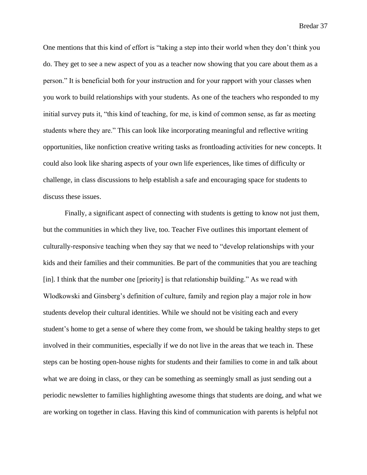One mentions that this kind of effort is "taking a step into their world when they don't think you do. They get to see a new aspect of you as a teacher now showing that you care about them as a person." It is beneficial both for your instruction and for your rapport with your classes when you work to build relationships with your students. As one of the teachers who responded to my initial survey puts it, "this kind of teaching, for me, is kind of common sense, as far as meeting students where they are." This can look like incorporating meaningful and reflective writing opportunities, like nonfiction creative writing tasks as frontloading activities for new concepts. It could also look like sharing aspects of your own life experiences, like times of difficulty or challenge, in class discussions to help establish a safe and encouraging space for students to discuss these issues.

Finally, a significant aspect of connecting with students is getting to know not just them, but the communities in which they live, too. Teacher Five outlines this important element of culturally-responsive teaching when they say that we need to "develop relationships with your kids and their families and their communities. Be part of the communities that you are teaching [in]. I think that the number one [priority] is that relationship building." As we read with Wlodkowski and Ginsberg's definition of culture, family and region play a major role in how students develop their cultural identities. While we should not be visiting each and every student's home to get a sense of where they come from, we should be taking healthy steps to get involved in their communities, especially if we do not live in the areas that we teach in. These steps can be hosting open-house nights for students and their families to come in and talk about what we are doing in class, or they can be something as seemingly small as just sending out a periodic newsletter to families highlighting awesome things that students are doing, and what we are working on together in class. Having this kind of communication with parents is helpful not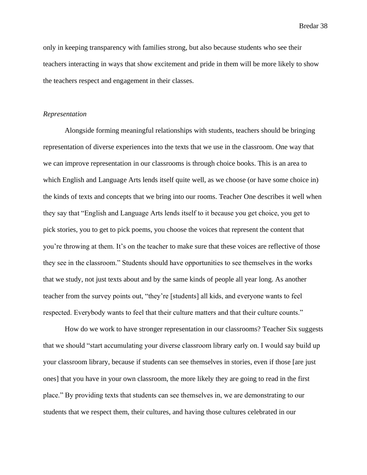only in keeping transparency with families strong, but also because students who see their teachers interacting in ways that show excitement and pride in them will be more likely to show the teachers respect and engagement in their classes.

#### *Representation*

Alongside forming meaningful relationships with students, teachers should be bringing representation of diverse experiences into the texts that we use in the classroom. One way that we can improve representation in our classrooms is through choice books. This is an area to which English and Language Arts lends itself quite well, as we choose (or have some choice in) the kinds of texts and concepts that we bring into our rooms. Teacher One describes it well when they say that "English and Language Arts lends itself to it because you get choice, you get to pick stories, you to get to pick poems, you choose the voices that represent the content that you're throwing at them. It's on the teacher to make sure that these voices are reflective of those they see in the classroom." Students should have opportunities to see themselves in the works that we study, not just texts about and by the same kinds of people all year long. As another teacher from the survey points out, "they're [students] all kids, and everyone wants to feel respected. Everybody wants to feel that their culture matters and that their culture counts."

How do we work to have stronger representation in our classrooms? Teacher Six suggests that we should "start accumulating your diverse classroom library early on. I would say build up your classroom library, because if students can see themselves in stories, even if those [are just ones] that you have in your own classroom, the more likely they are going to read in the first place." By providing texts that students can see themselves in, we are demonstrating to our students that we respect them, their cultures, and having those cultures celebrated in our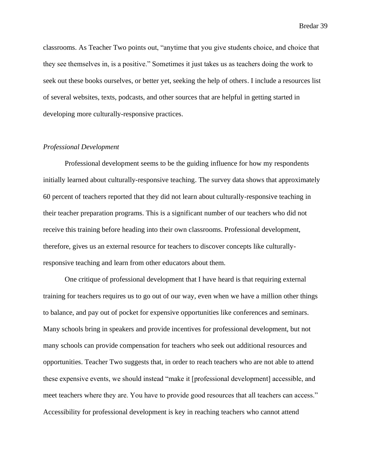classrooms. As Teacher Two points out, "anytime that you give students choice, and choice that they see themselves in, is a positive." Sometimes it just takes us as teachers doing the work to seek out these books ourselves, or better yet, seeking the help of others. I include a resources list of several websites, texts, podcasts, and other sources that are helpful in getting started in developing more culturally-responsive practices.

### *Professional Development*

Professional development seems to be the guiding influence for how my respondents initially learned about culturally-responsive teaching. The survey data shows that approximately 60 percent of teachers reported that they did not learn about culturally-responsive teaching in their teacher preparation programs. This is a significant number of our teachers who did not receive this training before heading into their own classrooms. Professional development, therefore, gives us an external resource for teachers to discover concepts like culturallyresponsive teaching and learn from other educators about them.

One critique of professional development that I have heard is that requiring external training for teachers requires us to go out of our way, even when we have a million other things to balance, and pay out of pocket for expensive opportunities like conferences and seminars. Many schools bring in speakers and provide incentives for professional development, but not many schools can provide compensation for teachers who seek out additional resources and opportunities. Teacher Two suggests that, in order to reach teachers who are not able to attend these expensive events, we should instead "make it [professional development] accessible, and meet teachers where they are. You have to provide good resources that all teachers can access." Accessibility for professional development is key in reaching teachers who cannot attend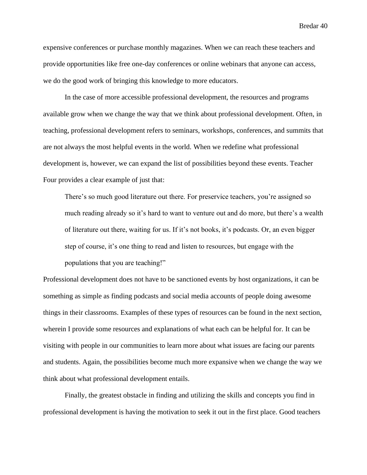expensive conferences or purchase monthly magazines. When we can reach these teachers and provide opportunities like free one-day conferences or online webinars that anyone can access, we do the good work of bringing this knowledge to more educators.

In the case of more accessible professional development, the resources and programs available grow when we change the way that we think about professional development. Often, in teaching, professional development refers to seminars, workshops, conferences, and summits that are not always the most helpful events in the world. When we redefine what professional development is, however, we can expand the list of possibilities beyond these events. Teacher Four provides a clear example of just that:

There's so much good literature out there. For preservice teachers, you're assigned so much reading already so it's hard to want to venture out and do more, but there's a wealth of literature out there, waiting for us. If it's not books, it's podcasts. Or, an even bigger step of course, it's one thing to read and listen to resources, but engage with the populations that you are teaching!"

Professional development does not have to be sanctioned events by host organizations, it can be something as simple as finding podcasts and social media accounts of people doing awesome things in their classrooms. Examples of these types of resources can be found in the next section, wherein I provide some resources and explanations of what each can be helpful for. It can be visiting with people in our communities to learn more about what issues are facing our parents and students. Again, the possibilities become much more expansive when we change the way we think about what professional development entails.

Finally, the greatest obstacle in finding and utilizing the skills and concepts you find in professional development is having the motivation to seek it out in the first place. Good teachers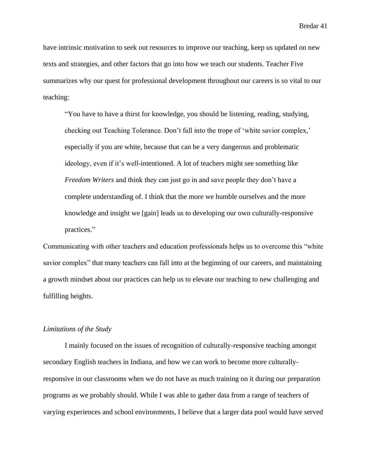have intrinsic motivation to seek out resources to improve our teaching, keep us updated on new texts and strategies, and other factors that go into how we teach our students. Teacher Five summarizes why our quest for professional development throughout our careers is so vital to our teaching:

"You have to have a thirst for knowledge, you should be listening, reading, studying, checking out Teaching Tolerance. Don't fall into the trope of 'white savior complex,' especially if you are white, because that can be a very dangerous and problematic ideology, even if it's well-intentioned. A lot of teachers might see something like *Freedom Writers* and think they can just go in and save people they don't have a complete understanding of. I think that the more we humble ourselves and the more knowledge and insight we [gain] leads us to developing our own culturally-responsive practices."

Communicating with other teachers and education professionals helps us to overcome this "white savior complex" that many teachers can fall into at the beginning of our careers, and maintaining a growth mindset about our practices can help us to elevate our teaching to new challenging and fulfilling heights.

#### *Limitations of the Study*

I mainly focused on the issues of recognition of culturally-responsive teaching amongst secondary English teachers in Indiana, and how we can work to become more culturallyresponsive in our classrooms when we do not have as much training on it during our preparation programs as we probably should. While I was able to gather data from a range of teachers of varying experiences and school environments, I believe that a larger data pool would have served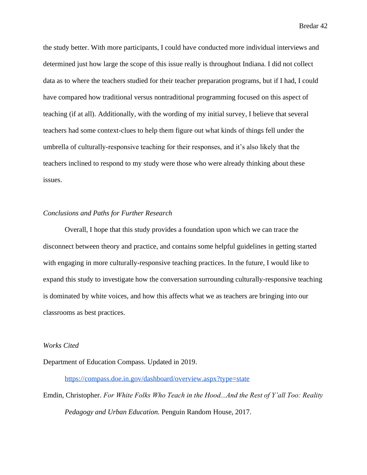the study better. With more participants, I could have conducted more individual interviews and determined just how large the scope of this issue really is throughout Indiana. I did not collect data as to where the teachers studied for their teacher preparation programs, but if I had, I could have compared how traditional versus nontraditional programming focused on this aspect of teaching (if at all). Additionally, with the wording of my initial survey, I believe that several teachers had some context-clues to help them figure out what kinds of things fell under the umbrella of culturally-responsive teaching for their responses, and it's also likely that the teachers inclined to respond to my study were those who were already thinking about these issues.

#### *Conclusions and Paths for Further Research*

Overall, I hope that this study provides a foundation upon which we can trace the disconnect between theory and practice, and contains some helpful guidelines in getting started with engaging in more culturally-responsive teaching practices. In the future, I would like to expand this study to investigate how the conversation surrounding culturally-responsive teaching is dominated by white voices, and how this affects what we as teachers are bringing into our classrooms as best practices.

#### *Works Cited*

Department of Education Compass. Updated in 2019.

<https://compass.doe.in.gov/dashboard/overview.aspx?type=state>

Emdin, Christopher. *For White Folks Who Teach in the Hood...And the Rest of Y'all Too: Reality Pedagogy and Urban Education.* Penguin Random House, 2017.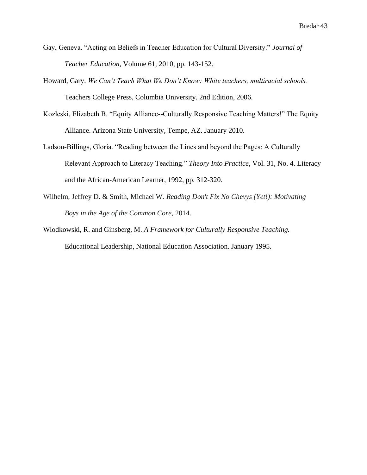- Gay, Geneva. "Acting on Beliefs in Teacher Education for Cultural Diversity." *Journal of Teacher Education*, Volume 61, 2010, pp. 143-152.
- Howard, Gary. *We Can't Teach What We Don't Know: White teachers, multiracial schools.* Teachers College Press, Columbia University. 2nd Edition, 2006.
- Kozleski, Elizabeth B. "Equity Alliance--Culturally Responsive Teaching Matters!" The Equity Alliance. Arizona State University, Tempe, AZ. January 2010.
- Ladson-Billings, Gloria. "Reading between the Lines and beyond the Pages: A Culturally Relevant Approach to Literacy Teaching." *Theory Into Practice*, Vol. 31, No. 4. Literacy and the African-American Learner, 1992, pp. 312-320.
- Wilhelm, Jeffrey D. & Smith, Michael W. *Reading Don't Fix No Chevys (Yet!): Motivating Boys in the Age of the Common Core*, 2014.
- Wlodkowski, R. and Ginsberg, M. *A Framework for Culturally Responsive Teaching.* Educational Leadership, National Education Association. January 1995.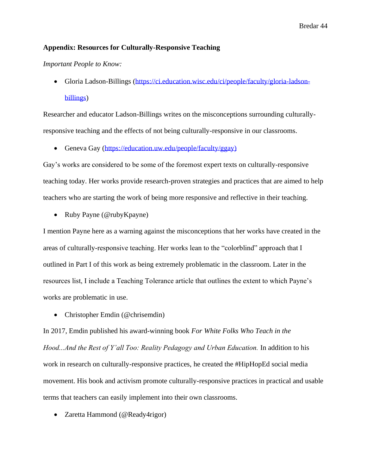### **Appendix: Resources for Culturally-Responsive Teaching**

#### *Important People to Know:*

• Gloria Ladson-Billings [\(https://ci.education.wisc.edu/ci/people/faculty/gloria-ladson](https://ci.education.wisc.edu/ci/people/faculty/gloria-ladson-billings)[billings\)](https://ci.education.wisc.edu/ci/people/faculty/gloria-ladson-billings)

Researcher and educator Ladson-Billings writes on the misconceptions surrounding culturallyresponsive teaching and the effects of not being culturally-responsive in our classrooms.

• Geneva Gay [\(https://education.uw.edu/people/faculty/ggay\)](https://education.uw.edu/people/faculty/ggay))

Gay's works are considered to be some of the foremost expert texts on culturally-responsive teaching today. Her works provide research-proven strategies and practices that are aimed to help teachers who are starting the work of being more responsive and reflective in their teaching.

• Ruby Payne (@rubyKpayne)

I mention Payne here as a warning against the misconceptions that her works have created in the areas of culturally-responsive teaching. Her works lean to the "colorblind" approach that I outlined in Part I of this work as being extremely problematic in the classroom. Later in the resources list, I include a Teaching Tolerance article that outlines the extent to which Payne's works are problematic in use.

• Christopher Emdin (@chrisemdin)

In 2017, Emdin published his award-winning book *For White Folks Who Teach in the Hood...And the Rest of Y'all Too: Reality Pedagogy and Urban Education.* In addition to his work in research on culturally-responsive practices, he created the #HipHopEd social media movement. His book and activism promote culturally-responsive practices in practical and usable terms that teachers can easily implement into their own classrooms.

• Zaretta Hammond (@Ready4rigor)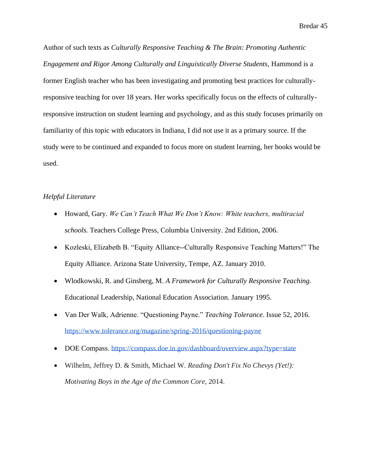Author of such texts as *Culturally Responsive Teaching & The Brain: Promoting Authentic Engagement and Rigor Among Culturally and Linguistically Diverse Students*, Hammond is a former English teacher who has been investigating and promoting best practices for culturallyresponsive teaching for over 18 years. Her works specifically focus on the effects of culturallyresponsive instruction on student learning and psychology, and as this study focuses primarily on familiarity of this topic with educators in Indiana, I did not use it as a primary source. If the study were to be continued and expanded to focus more on student learning, her books would be used.

# *Helpful Literature*

- Howard, Gary. *We Can't Teach What We Don't Know: White teachers, multiracial schools.* Teachers College Press, Columbia University. 2nd Edition, 2006.
- Kozleski, Elizabeth B. "Equity Alliance--Culturally Responsive Teaching Matters!" The Equity Alliance. Arizona State University, Tempe, AZ. January 2010.
- Wlodkowski, R. and Ginsberg, M. *A Framework for Culturally Responsive Teaching.* Educational Leadership, National Education Association. January 1995.
- Van Der Walk, Adrienne. "Questioning Payne." *Teaching Tolerance.* Issue 52, 2016. <https://www.tolerance.org/magazine/spring-2016/questioning-payne>
- DOE Compass.<https://compass.doe.in.gov/dashboard/overview.aspx?type=state>
- Wilhelm, Jeffrey D. & Smith, Michael W. *Reading Don't Fix No Chevys (Yet!): Motivating Boys in the Age of the Common Core*, 2014.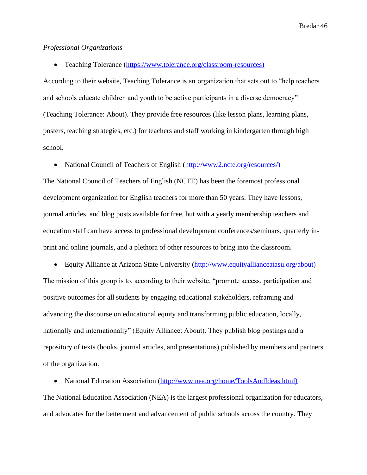### *Professional Organizations*

• Teaching Tolerance [\(https://www.tolerance.org/classroom-resources\)](https://www.tolerance.org/classroom-resources))

According to their website, Teaching Tolerance is an organization that sets out to "help teachers and schools educate children and youth to be active participants in a diverse democracy" (Teaching Tolerance: About). They provide free resources (like lesson plans, learning plans, posters, teaching strategies, etc.) for teachers and staff working in kindergarten through high school.

• National Council of Teachers of English [\(http://www2.ncte.org/resources/\)](http://www2.ncte.org/resources/))

The National Council of Teachers of English (NCTE) has been the foremost professional development organization for English teachers for more than 50 years. They have lessons, journal articles, and blog posts available for free, but with a yearly membership teachers and education staff can have access to professional development conferences/seminars, quarterly inprint and online journals, and a plethora of other resources to bring into the classroom.

• Equity Alliance at Arizona State University [\(http://www.equityallianceatasu.org/about\)](http://www.equityallianceatasu.org/about)) The mission of this group is to, according to their website, "promote access, participation and positive outcomes for all students by engaging educational stakeholders, reframing and advancing the discourse on educational equity and transforming public education, locally, nationally and internationally" (Equity Alliance: About). They publish blog postings and a repository of texts (books, journal articles, and presentations) published by members and partners of the organization.

• National Education Association [\(http://www.nea.org/home/ToolsAndIdeas.html\)](http://www.nea.org/home/ToolsAndIdeas.html))

The National Education Association (NEA) is the largest professional organization for educators, and advocates for the betterment and advancement of public schools across the country. They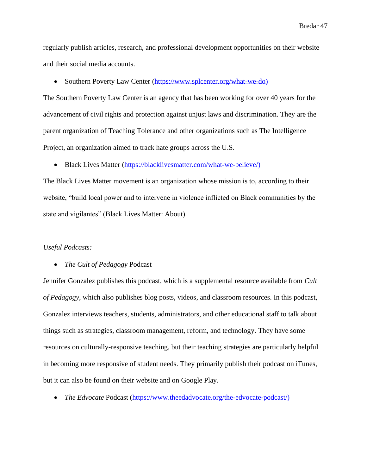regularly publish articles, research, and professional development opportunities on their website and their social media accounts.

• Southern Poverty Law Center [\(https://www.splcenter.org/what-we-do\)](https://www.splcenter.org/what-we-do))

The Southern Poverty Law Center is an agency that has been working for over 40 years for the advancement of civil rights and protection against unjust laws and discrimination. They are the parent organization of Teaching Tolerance and other organizations such as The Intelligence Project, an organization aimed to track hate groups across the U.S.

• Black Lives Matter [\(https://blacklivesmatter.com/what-we-believe/\)](https://blacklivesmatter.com/what-we-believe/))

The Black Lives Matter movement is an organization whose mission is to, according to their website, "build local power and to intervene in violence inflicted on Black communities by the state and vigilantes" (Black Lives Matter: About).

#### *Useful Podcasts:*

#### • *The Cult of Pedagogy* Podcast

Jennifer Gonzalez publishes this podcast, which is a supplemental resource available from *Cult of Pedagogy*, which also publishes blog posts, videos, and classroom resources. In this podcast, Gonzalez interviews teachers, students, administrators, and other educational staff to talk about things such as strategies, classroom management, reform, and technology. They have some resources on culturally-responsive teaching, but their teaching strategies are particularly helpful in becoming more responsive of student needs. They primarily publish their podcast on iTunes, but it can also be found on their website and on Google Play.

• *The Edvocate* Podcast [\(https://www.theedadvocate.org/the-edvocate-podcast/\)](https://www.theedadvocate.org/the-edvocate-podcast/))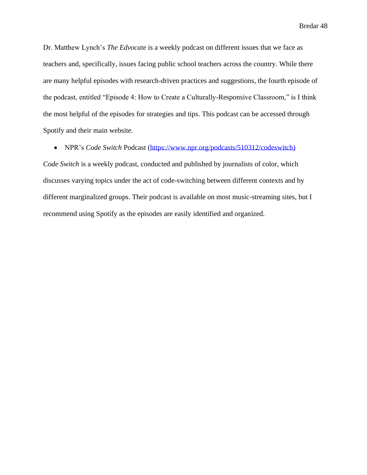Dr. Matthew Lynch's *The Edvocate* is a weekly podcast on different issues that we face as teachers and, specifically, issues facing public school teachers across the country. While there are many helpful episodes with research-driven practices and suggestions, the fourth episode of the podcast, entitled "Episode 4: How to Create a Culturally-Responsive Classroom," is I think the most helpful of the episodes for strategies and tips. This podcast can be accessed through Spotify and their main website.

• NPR's *Code Switch* Podcast [\(https://www.npr.org/podcasts/510312/codeswitch\)](https://www.npr.org/podcasts/510312/codeswitch))

*Code Switch* is a weekly podcast, conducted and published by journalists of color, which discusses varying topics under the act of code-switching between different contexts and by different marginalized groups. Their podcast is available on most music-streaming sites, but I recommend using Spotify as the episodes are easily identified and organized.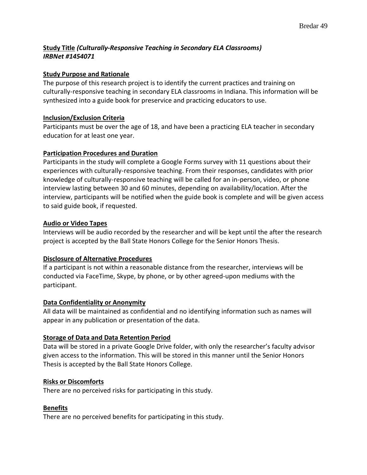# **Study Title** *(Culturally-Responsive Teaching in Secondary ELA Classrooms) IRBNet #1454071*

# **Study Purpose and Rationale**

The purpose of this research project is to identify the current practices and training on culturally-responsive teaching in secondary ELA classrooms in Indiana. This information will be synthesized into a guide book for preservice and practicing educators to use.

## **Inclusion/Exclusion Criteria**

Participants must be over the age of 18, and have been a practicing ELA teacher in secondary education for at least one year.

## **Participation Procedures and Duration**

Participants in the study will complete a Google Forms survey with 11 questions about their experiences with culturally-responsive teaching. From their responses, candidates with prior knowledge of culturally-responsive teaching will be called for an in-person, video, or phone interview lasting between 30 and 60 minutes, depending on availability/location. After the interview, participants will be notified when the guide book is complete and will be given access to said guide book, if requested.

## **Audio or Video Tapes**

Interviews will be audio recorded by the researcher and will be kept until the after the research project is accepted by the Ball State Honors College for the Senior Honors Thesis.

# **Disclosure of Alternative Procedures**

If a participant is not within a reasonable distance from the researcher, interviews will be conducted via FaceTime, Skype, by phone, or by other agreed-upon mediums with the participant.

## **Data Confidentiality or Anonymity**

All data will be maintained as confidential and no identifying information such as names will appear in any publication or presentation of the data.

# **Storage of Data and Data Retention Period**

Data will be stored in a private Google Drive folder, with only the researcher's faculty advisor given access to the information. This will be stored in this manner until the Senior Honors Thesis is accepted by the Ball State Honors College.

## **Risks or Discomforts**

There are no perceived risks for participating in this study.

## **Benefits**

There are no perceived benefits for participating in this study.